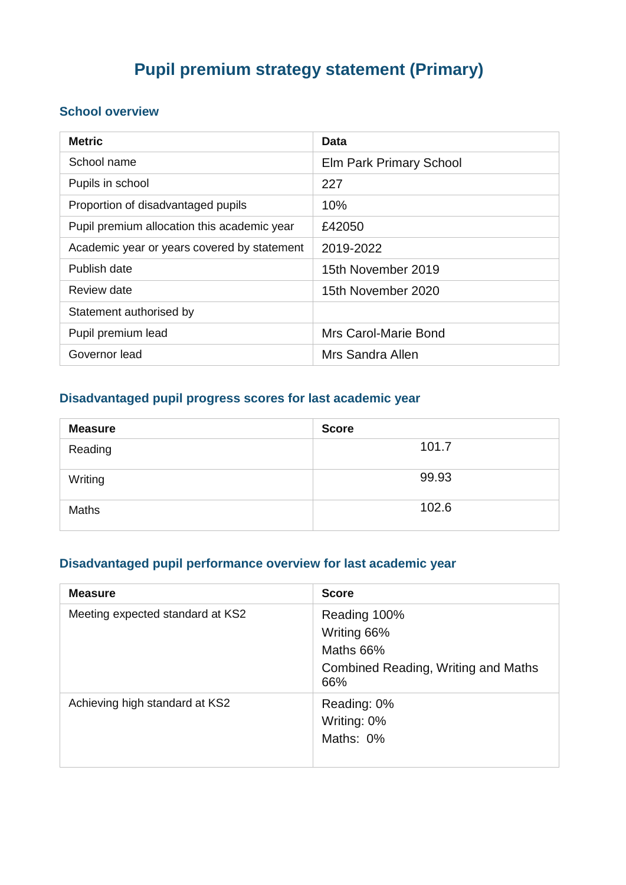# **Pupil premium strategy statement (Primary)**

### **School overview**

| <b>Metric</b>                               | Data                    |
|---------------------------------------------|-------------------------|
| School name                                 | Elm Park Primary School |
| Pupils in school                            | 227                     |
| Proportion of disadvantaged pupils          | 10%                     |
| Pupil premium allocation this academic year | £42050                  |
| Academic year or years covered by statement | 2019-2022               |
| Publish date                                | 15th November 2019      |
| Review date                                 | 15th November 2020      |
| Statement authorised by                     |                         |
| Pupil premium lead                          | Mrs Carol-Marie Bond    |
| Governor lead                               | Mrs Sandra Allen        |

## **Disadvantaged pupil progress scores for last academic year**

| <b>Measure</b> | <b>Score</b> |
|----------------|--------------|
| Reading        | 101.7        |
| Writing        | 99.93        |
| Maths          | 102.6        |

### **Disadvantaged pupil performance overview for last academic year**

| <b>Measure</b>                   | <b>Score</b>                                                                           |
|----------------------------------|----------------------------------------------------------------------------------------|
| Meeting expected standard at KS2 | Reading 100%<br>Writing 66%<br>Maths 66%<br>Combined Reading, Writing and Maths<br>66% |
| Achieving high standard at KS2   | Reading: 0%<br>Writing: 0%<br>Maths: 0%                                                |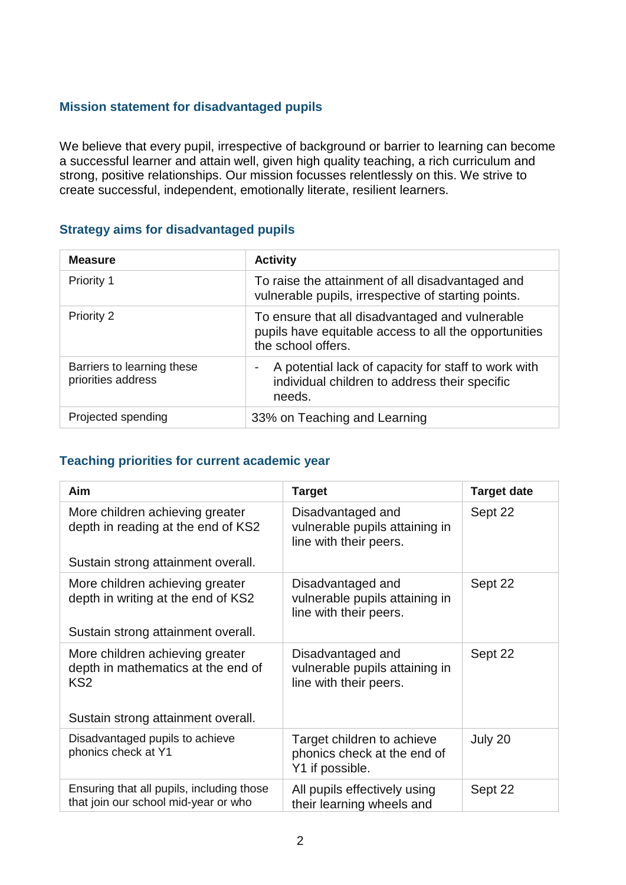#### **Mission statement for disadvantaged pupils**

We believe that every pupil, irrespective of background or barrier to learning can become a successful learner and attain well, given high quality teaching, a rich curriculum and strong, positive relationships. Our mission focusses relentlessly on this. We strive to create successful, independent, emotionally literate, resilient learners.

#### **Strategy aims for disadvantaged pupils**

| <b>Measure</b>                                   | <b>Activity</b>                                                                                                                |
|--------------------------------------------------|--------------------------------------------------------------------------------------------------------------------------------|
| Priority 1                                       | To raise the attainment of all disadvantaged and<br>vulnerable pupils, irrespective of starting points.                        |
| <b>Priority 2</b>                                | To ensure that all disadvantaged and vulnerable<br>pupils have equitable access to all the opportunities<br>the school offers. |
| Barriers to learning these<br>priorities address | A potential lack of capacity for staff to work with<br>-<br>individual children to address their specific<br>needs.            |
| Projected spending                               | 33% on Teaching and Learning                                                                                                   |

#### **Teaching priorities for current academic year**

| Aim                                                                                                                            | <b>Target</b>                                                                 | <b>Target date</b> |
|--------------------------------------------------------------------------------------------------------------------------------|-------------------------------------------------------------------------------|--------------------|
| More children achieving greater<br>depth in reading at the end of KS2                                                          | Disadvantaged and<br>vulnerable pupils attaining in<br>line with their peers. | Sept 22            |
| Sustain strong attainment overall.                                                                                             |                                                                               |                    |
| More children achieving greater<br>depth in writing at the end of KS2                                                          | Disadvantaged and<br>vulnerable pupils attaining in<br>line with their peers. | Sept 22            |
| Sustain strong attainment overall.                                                                                             |                                                                               |                    |
| More children achieving greater<br>depth in mathematics at the end of<br>KS <sub>2</sub><br>Sustain strong attainment overall. | Disadvantaged and<br>vulnerable pupils attaining in<br>line with their peers. | Sept 22            |
| Disadvantaged pupils to achieve<br>phonics check at Y1                                                                         | Target children to achieve<br>phonics check at the end of<br>Y1 if possible.  | July 20            |
| Ensuring that all pupils, including those<br>that join our school mid-year or who                                              | All pupils effectively using<br>their learning wheels and                     | Sept 22            |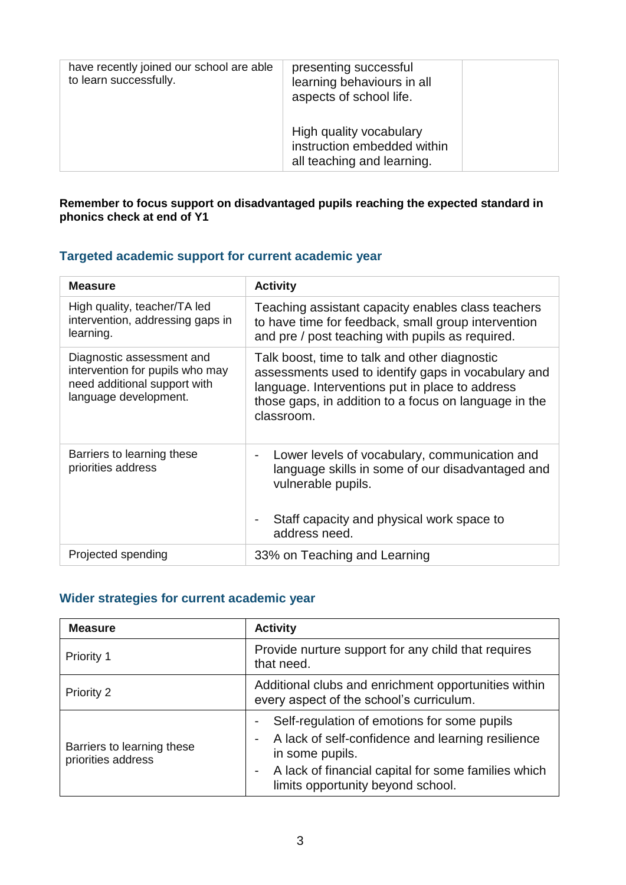| have recently joined our school are able<br>to learn successfully. | presenting successful<br>learning behaviours in all<br>aspects of school life.       |
|--------------------------------------------------------------------|--------------------------------------------------------------------------------------|
|                                                                    | High quality vocabulary<br>instruction embedded within<br>all teaching and learning. |

#### **Remember to focus support on disadvantaged pupils reaching the expected standard in phonics check at end of Y1**

## **Targeted academic support for current academic year**

| <b>Measure</b>                                                                                                        | <b>Activity</b>                                                                                                                                                                                                                |
|-----------------------------------------------------------------------------------------------------------------------|--------------------------------------------------------------------------------------------------------------------------------------------------------------------------------------------------------------------------------|
| High quality, teacher/TA led<br>intervention, addressing gaps in<br>learning.                                         | Teaching assistant capacity enables class teachers<br>to have time for feedback, small group intervention<br>and pre / post teaching with pupils as required.                                                                  |
| Diagnostic assessment and<br>intervention for pupils who may<br>need additional support with<br>language development. | Talk boost, time to talk and other diagnostic<br>assessments used to identify gaps in vocabulary and<br>language. Interventions put in place to address<br>those gaps, in addition to a focus on language in the<br>classroom. |
| Barriers to learning these<br>priorities address                                                                      | Lower levels of vocabulary, communication and<br>$\qquad \qquad \blacksquare$<br>language skills in some of our disadvantaged and<br>vulnerable pupils.<br>Staff capacity and physical work space to<br>address need.          |
| Projected spending                                                                                                    | 33% on Teaching and Learning                                                                                                                                                                                                   |

## **Wider strategies for current academic year**

| <b>Measure</b>                                   | <b>Activity</b>                                                                                                                                                                                                                |  |
|--------------------------------------------------|--------------------------------------------------------------------------------------------------------------------------------------------------------------------------------------------------------------------------------|--|
| Priority 1                                       | Provide nurture support for any child that requires<br>that need.                                                                                                                                                              |  |
| Priority 2                                       | Additional clubs and enrichment opportunities within<br>every aspect of the school's curriculum.                                                                                                                               |  |
| Barriers to learning these<br>priorities address | Self-regulation of emotions for some pupils<br>-<br>A lack of self-confidence and learning resilience<br>-<br>in some pupils.<br>A lack of financial capital for some families which<br>۰<br>limits opportunity beyond school. |  |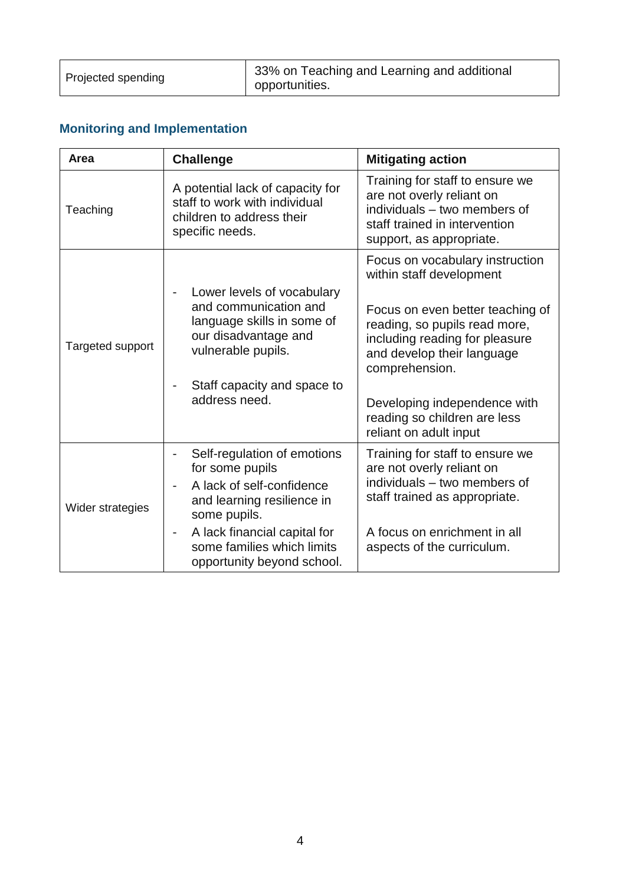| Projected spending | 33% on Teaching and Learning and additional<br>opportunities. |
|--------------------|---------------------------------------------------------------|
|--------------------|---------------------------------------------------------------|

## **Monitoring and Implementation**

| Area             | <b>Challenge</b>                                                                                                                | <b>Mitigating action</b>                                                                                                                                  |
|------------------|---------------------------------------------------------------------------------------------------------------------------------|-----------------------------------------------------------------------------------------------------------------------------------------------------------|
| Teaching         | A potential lack of capacity for<br>staff to work with individual<br>children to address their<br>specific needs.               | Training for staff to ensure we<br>are not overly reliant on<br>individuals – two members of<br>staff trained in intervention<br>support, as appropriate. |
|                  |                                                                                                                                 | Focus on vocabulary instruction<br>within staff development                                                                                               |
| Targeted support | Lower levels of vocabulary<br>and communication and<br>language skills in some of<br>our disadvantage and<br>vulnerable pupils. | Focus on even better teaching of<br>reading, so pupils read more,<br>including reading for pleasure<br>and develop their language<br>comprehension.       |
|                  | Staff capacity and space to<br>address need.                                                                                    | Developing independence with<br>reading so children are less<br>reliant on adult input                                                                    |
|                  | Self-regulation of emotions<br>-<br>for some pupils                                                                             | Training for staff to ensure we<br>are not overly reliant on                                                                                              |
| Wider strategies | A lack of self-confidence<br>and learning resilience in<br>some pupils.                                                         | individuals - two members of<br>staff trained as appropriate.                                                                                             |
|                  | A lack financial capital for<br>$\qquad \qquad \blacksquare$<br>some families which limits<br>opportunity beyond school.        | A focus on enrichment in all<br>aspects of the curriculum.                                                                                                |